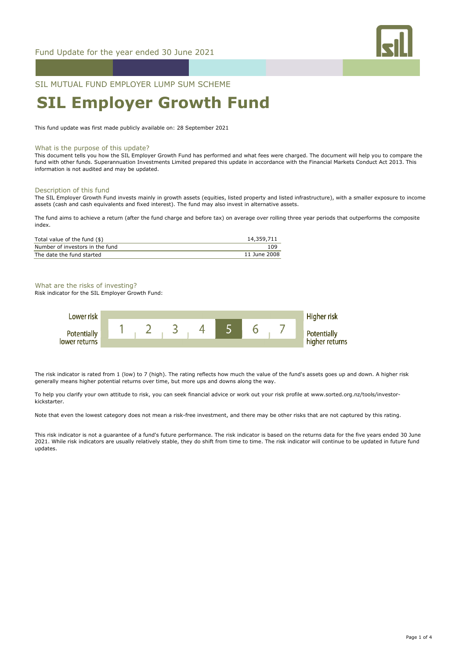

SIL MUTUAL FUND EMPLOYER LUMP SUM SCHEME

# **SIL Employer Growth Fund**

This fund update was first made publicly available on: 28 September 2021

#### What is the purpose of this update?

This document tells you how the SIL Employer Growth Fund has performed and what fees were charged. The document will help you to compare the fund with other funds. Superannuation Investments Limited prepared this update in accordance with the Financial Markets Conduct Act 2013. This information is not audited and may be updated.

#### Description of this fund

The SIL Employer Growth Fund invests mainly in growth assets (equities, listed property and listed infrastructure), with a smaller exposure to income assets (cash and cash equivalents and fixed interest). The fund may also invest in alternative assets.

The fund aims to achieve a return (after the fund charge and before tax) on average over rolling three year periods that outperforms the composite index.

| Total value of the fund $(\$)$  | 14,359,711   |
|---------------------------------|--------------|
| Number of investors in the fund | 109          |
| The date the fund started       | 11 June 2008 |

## What are the risks of investing?

Risk indicator for the SIL Employer Growth Fund:



The risk indicator is rated from 1 (low) to 7 (high). The rating reflects how much the value of the fund's assets goes up and down. A higher risk generally means higher potential returns over time, but more ups and downs along the way.

To help you clarify your own attitude to risk, you can seek financial advice or work out your risk profile at www.sorted.org.nz/tools/investorkickstarter.

Note that even the lowest category does not mean a risk-free investment, and there may be other risks that are not captured by this rating.

This risk indicator is not a guarantee of a fund's future performance. The risk indicator is based on the returns data for the five years ended 30 June 2021. While risk indicators are usually relatively stable, they do shift from time to time. The risk indicator will continue to be updated in future fund updates.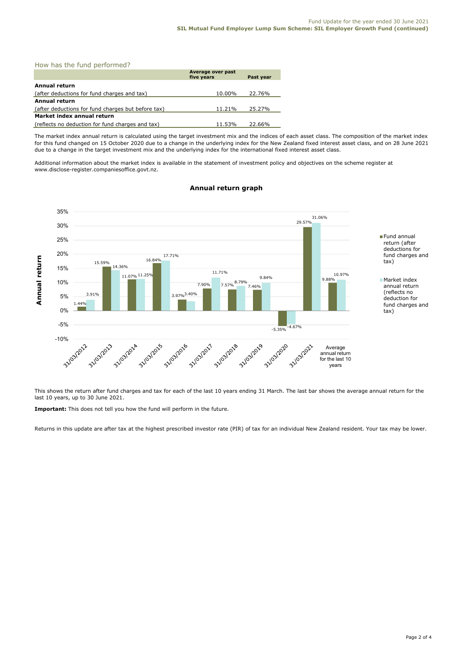|  |  |  |  | How has the fund performed? |  |
|--|--|--|--|-----------------------------|--|
|--|--|--|--|-----------------------------|--|

|                                                    | Average over past<br>five years | Past year |
|----------------------------------------------------|---------------------------------|-----------|
| <b>Annual return</b>                               |                                 |           |
| (after deductions for fund charges and tax)        | 10.00%                          | 22.76%    |
| Annual return                                      |                                 |           |
| (after deductions for fund charges but before tax) | 11.21%                          | 25.27%    |
| Market index annual return                         |                                 |           |
| (reflects no deduction for fund charges and tax)   | 11.53%                          | 22.66%    |

The market index annual return is calculated using the target investment mix and the indices of each asset class. The composition of the market index for this fund changed on 15 October 2020 due to a change in the underlying index for the New Zealand fixed interest asset class, and on 28 June 2021 due to a change in the target investment mix and the underlying index for the international fixed interest asset class.

Additional information about the market index is available in the statement of investment policy and objectives on the scheme register at www.disclose-register.companiesoffice.govt.nz.



# **Annual return graph**

This shows the return after fund charges and tax for each of the last 10 years ending 31 March. The last bar shows the average annual return for the last 10 years, up to 30 June 2021.

**Important:** This does not tell you how the fund will perform in the future.

Returns in this update are after tax at the highest prescribed investor rate (PIR) of tax for an individual New Zealand resident. Your tax may be lower.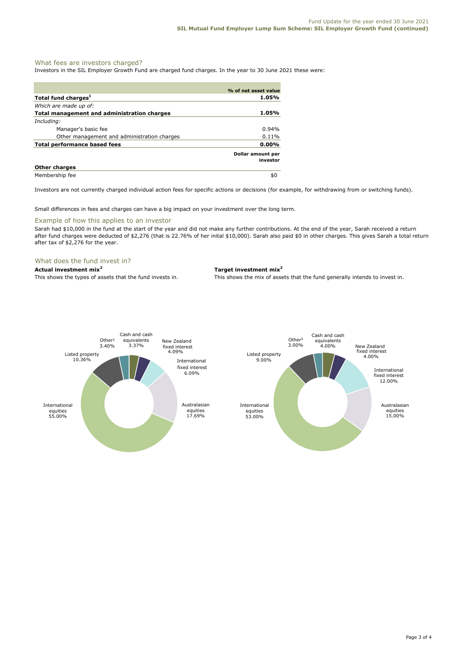## What fees are investors charged?

Investors in the SIL Employer Growth Fund are charged fund charges. In the year to 30 June 2021 these were:

|                                             | % of net asset value          |
|---------------------------------------------|-------------------------------|
| Total fund charges <sup>1</sup>             | 1.05%                         |
| Which are made up of:                       |                               |
| Total management and administration charges | 1.05%                         |
| Including:                                  |                               |
| Manager's basic fee                         | 0.94%                         |
| Other management and administration charges | 0.11%                         |
| Total performance based fees                | $0.00\%$                      |
|                                             | Dollar amount per<br>investor |
| <b>Other charges</b>                        |                               |
| Membership fee                              | \$0                           |

Investors are not currently charged individual action fees for specific actions or decisions (for example, for withdrawing from or switching funds).

Small differences in fees and charges can have a big impact on your investment over the long term.

# Example of how this applies to an investor

Sarah had \$10,000 in the fund at the start of the year and did not make any further contributions. At the end of the year, Sarah received a return after fund charges were deducted of \$2,276 (that is 22.76% of her inital \$10,000). Sarah also paid \$0 in other charges. This gives Sarah a total return after tax of \$2,276 for the year.

## What does the fund invest in?

# **Actual investment mix<sup>2</sup> Target investment mix<sup>2</sup>**

This shows the types of assets that the fund invests in. This shows the mix of assets that the fund generally intends to invest in.